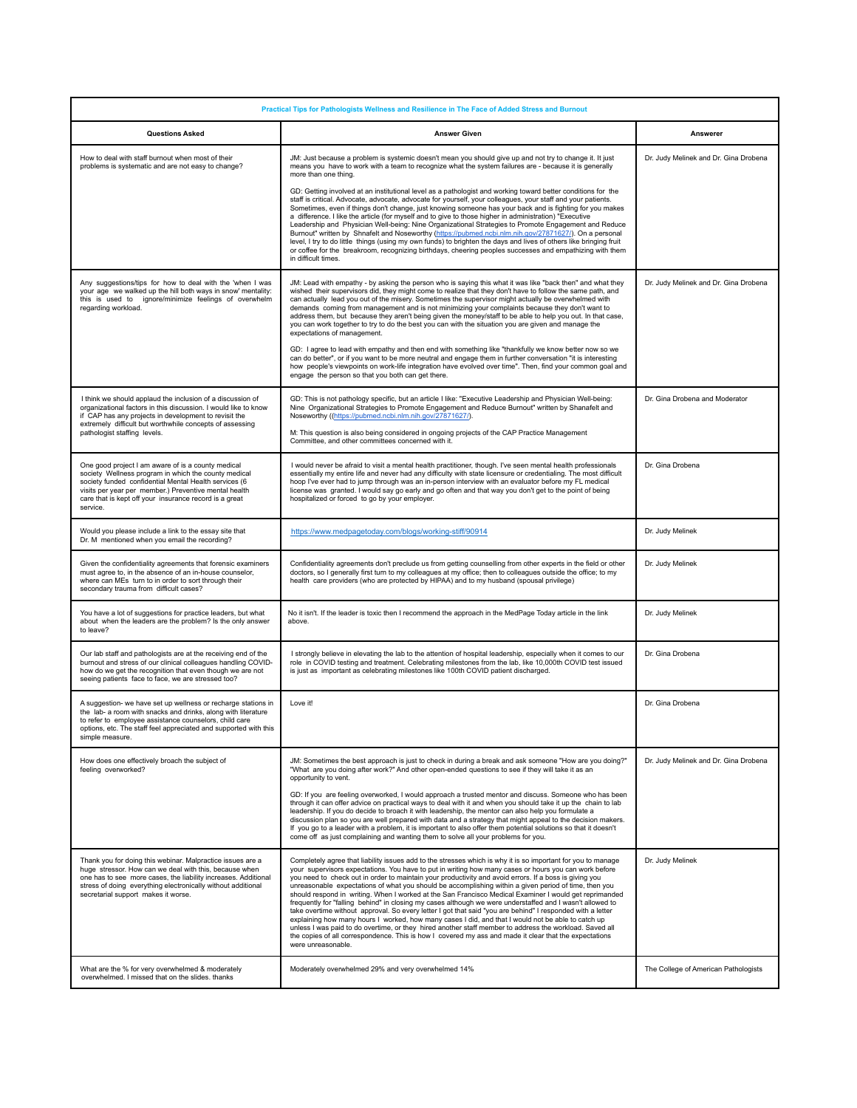| Practical Tips for Pathologists Wellness and Resilience in The Face of Added Stress and Burnout                                                                                                                                                                                                    |                                                                                                                                                                                                                                                                                                                                                                                                                                                                                                                                                                                                                                                                                                                                                                                                                                                                                                                                                                                                                                                                                                                                                                             |                                       |
|----------------------------------------------------------------------------------------------------------------------------------------------------------------------------------------------------------------------------------------------------------------------------------------------------|-----------------------------------------------------------------------------------------------------------------------------------------------------------------------------------------------------------------------------------------------------------------------------------------------------------------------------------------------------------------------------------------------------------------------------------------------------------------------------------------------------------------------------------------------------------------------------------------------------------------------------------------------------------------------------------------------------------------------------------------------------------------------------------------------------------------------------------------------------------------------------------------------------------------------------------------------------------------------------------------------------------------------------------------------------------------------------------------------------------------------------------------------------------------------------|---------------------------------------|
| <b>Questions Asked</b>                                                                                                                                                                                                                                                                             | <b>Answer Given</b>                                                                                                                                                                                                                                                                                                                                                                                                                                                                                                                                                                                                                                                                                                                                                                                                                                                                                                                                                                                                                                                                                                                                                         | Answerer                              |
| How to deal with staff burnout when most of their<br>problems is systematic and are not easy to change?                                                                                                                                                                                            | JM: Just because a problem is systemic doesn't mean you should give up and not try to change it. It just<br>means you have to work with a team to recognize what the system failures are - because it is generally<br>more than one thing.<br>GD: Getting involved at an institutional level as a pathologist and working toward better conditions for the<br>staff is critical. Advocate, advocate, advocate for yourself, your colleagues, your staff and your patients.<br>Sometimes, even if things don't change, just knowing someone has your back and is fighting for you makes<br>a difference. I like the article (for myself and to give to those higher in administration) "Executive<br>Leadership and Physician Well-being: Nine Organizational Strategies to Promote Engagement and Reduce<br>Burnout" written by Shnafelt and Noseworthy (https://pubmed.ncbi.nlm.nih.gov/27871627/). On a personal<br>level, I try to do little things (using my own funds) to brighten the days and lives of others like bringing fruit<br>or coffee for the breakroom, recognizing birthdays, cheering peoples successes and empathizing with them<br>in difficult times. | Dr. Judy Melinek and Dr. Gina Drobena |
| Any suggestions/tips for how to deal with the 'when I was<br>your age we walked up the hill both ways in snow' mentality:<br>this is used to ignore/minimize feelings of overwhelm<br>regarding workload.                                                                                          | JM: Lead with empathy - by asking the person who is saying this what it was like "back then" and what they<br>wished their supervisors did, they might come to realize that they don't have to follow the same path, and<br>can actually lead you out of the misery. Sometimes the supervisor might actually be overwhelmed with<br>demands coming from management and is not minimizing your complaints because they don't want to<br>address them, but because they aren't being given the money/staff to be able to help you out. In that case,<br>you can work together to try to do the best you can with the situation you are given and manage the<br>expectations of management.<br>GD: I agree to lead with empathy and then end with something like "thankfully we know better now so we<br>can do better", or if you want to be more neutral and engage them in further conversation "it is interesting<br>how people's viewpoints on work-life integration have evolved over time". Then, find your common goal and<br>engage the person so that you both can get there.                                                                                        | Dr. Judy Melinek and Dr. Gina Drobena |
| I think we should applaud the inclusion of a discussion of<br>organizational factors in this discussion. I would like to know<br>if CAP has any projects in development to revisit the<br>extremely difficult but worthwhile concepts of assessing<br>pathologist staffing levels.                 | GD: This is not pathology specific, but an article I like: "Executive Leadership and Physician Well-being:<br>Nine Organizational Strategies to Promote Engagement and Reduce Burnout" written by Shanafelt and<br>Noseworthy ((https://pubmed.ncbi.nlm.nih.gov/27871627/).<br>M: This question is also being considered in ongoing projects of the CAP Practice Management<br>Committee, and other committees concerned with it.                                                                                                                                                                                                                                                                                                                                                                                                                                                                                                                                                                                                                                                                                                                                           | Dr. Gina Drobena and Moderator        |
| One good project I am aware of is a county medical<br>society Wellness program in which the county medical<br>society funded confidential Mental Health services (6<br>visits per year per member.) Preventive mental health<br>care that is kept off your insurance record is a great<br>service. | I would never be afraid to visit a mental health practitioner, though. I've seen mental health professionals<br>essentially my entire life and never had any difficulty with state licensure or credentialing. The most difficult<br>hoop I've ever had to jump through was an in-person interview with an evaluator before my FL medical<br>license was granted. I would say go early and go often and that way you don't get to the point of being<br>hospitalized or forced to go by your employer.                                                                                                                                                                                                                                                                                                                                                                                                                                                                                                                                                                                                                                                                      | Dr. Gina Drobena                      |
| Would you please include a link to the essay site that<br>Dr. M mentioned when you email the recording?                                                                                                                                                                                            | https://www.medpagetoday.com/blogs/working-stiff/90914                                                                                                                                                                                                                                                                                                                                                                                                                                                                                                                                                                                                                                                                                                                                                                                                                                                                                                                                                                                                                                                                                                                      | Dr. Judy Melinek                      |
| Given the confidentiality agreements that forensic examiners<br>must agree to, in the absence of an in-house counselor,<br>where can MEs turn to in order to sort through their<br>secondary trauma from difficult cases?                                                                          | Confidentiality agreements don't preclude us from getting counselling from other experts in the field or other<br>doctors, so I generally first turn to my colleagues at my office; then to colleagues outside the office; to my<br>health care providers (who are protected by HIPAA) and to my husband (spousal privilege)                                                                                                                                                                                                                                                                                                                                                                                                                                                                                                                                                                                                                                                                                                                                                                                                                                                | Dr. Judy Melinek                      |
| You have a lot of suggestions for practice leaders, but what<br>about when the leaders are the problem? Is the only answer<br>to leave?                                                                                                                                                            | No it isn't. If the leader is toxic then I recommend the approach in the MedPage Today article in the link<br>above.                                                                                                                                                                                                                                                                                                                                                                                                                                                                                                                                                                                                                                                                                                                                                                                                                                                                                                                                                                                                                                                        | Dr. Judy Melinek                      |
| Our lab staff and pathologists are at the receiving end of the<br>burnout and stress of our clinical colleagues handling COVID-<br>how do we get the recognition that even though we are not<br>seeing patients face to face, we are stressed too?                                                 | I strongly believe in elevating the lab to the attention of hospital leadership, especially when it comes to our<br>role in COVID testing and treatment. Celebrating milestones from the lab, like 10,000th COVID test issued<br>is just as important as celebrating milestones like 100th COVID patient discharged.                                                                                                                                                                                                                                                                                                                                                                                                                                                                                                                                                                                                                                                                                                                                                                                                                                                        | Dr. Gina Drobena                      |
| A suggestion- we have set up wellness or recharge stations in<br>the lab- a room with snacks and drinks, along with literature<br>to refer to employee assistance counselors, child care<br>options, etc. The staff feel appreciated and supported with this<br>simple measure.                    | Love it!                                                                                                                                                                                                                                                                                                                                                                                                                                                                                                                                                                                                                                                                                                                                                                                                                                                                                                                                                                                                                                                                                                                                                                    | Dr. Gina Drobena                      |
| How does one effectively broach the subject of<br>feeling overworked?                                                                                                                                                                                                                              | JM: Sometimes the best approach is just to check in during a break and ask someone "How are you doing?"<br>"What are you doing after work?" And other open-ended questions to see if they will take it as an<br>opportunity to vent.<br>GD: If you are feeling overworked, I would approach a trusted mentor and discuss. Someone who has been<br>through it can offer advice on practical ways to deal with it and when you should take it up the chain to lab<br>leadership. If you do decide to broach it with leadership, the mentor can also help you formulate a<br>discussion plan so you are well prepared with data and a strategy that might appeal to the decision makers.<br>If you go to a leader with a problem, it is important to also offer them potential solutions so that it doesn't<br>come off as just complaining and wanting them to solve all your problems for you.                                                                                                                                                                                                                                                                               | Dr. Judy Melinek and Dr. Gina Drobena |
| Thank you for doing this webinar. Malpractice issues are a<br>huge stressor. How can we deal with this, because when<br>one has to see more cases, the liability increases. Additional<br>stress of doing everything electronically without additional<br>secretarial support makes it worse.      | Completely agree that liability issues add to the stresses which is why it is so important for you to manage<br>your supervisors expectations. You have to put in writing how many cases or hours you can work before<br>you need to check out in order to maintain your productivity and avoid errors. If a boss is giving you<br>unreasonable expectations of what you should be accomplishing within a given period of time, then you<br>should respond in writing. When I worked at the San Francisco Medical Examiner I would get reprimanded<br>frequently for "falling behind" in closing my cases although we were understaffed and I wasn't allowed to<br>take overtime without approval. So every letter I got that said "you are behind" I responded with a letter<br>explaining how many hours I worked, how many cases I did, and that I would not be able to catch up<br>unless I was paid to do overtime, or they hired another staff member to address the workload. Saved all<br>the copies of all correspondence. This is how I covered my ass and made it clear that the expectations<br>were unreasonable.                                              | Dr. Judy Melinek                      |
| What are the % for very overwhelmed & moderately<br>overwhelmed. I missed that on the slides. thanks                                                                                                                                                                                               | Moderately overwhelmed 29% and very overwhelmed 14%                                                                                                                                                                                                                                                                                                                                                                                                                                                                                                                                                                                                                                                                                                                                                                                                                                                                                                                                                                                                                                                                                                                         | The College of American Pathologists  |